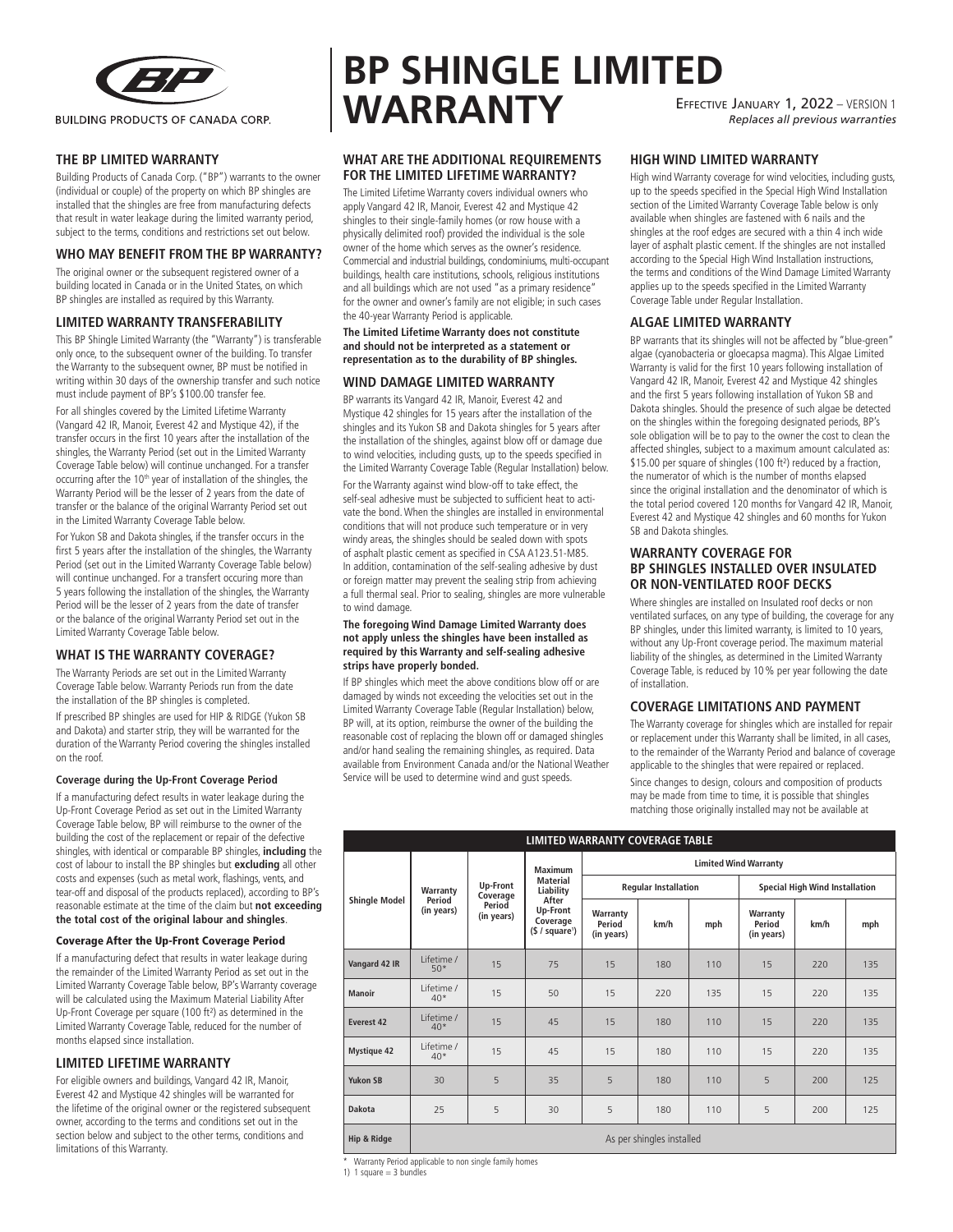

**THE BP LIMITED WARRANTY**

Building Products of Canada Corp. ("BP") warrants to the owner (individual or couple) of the property on which BP shingles are installed that the shingles are free from manufacturing defects that result in water leakage during the limited warranty period, subject to the terms, conditions and restrictions set out below.

#### **WHO MAY BENEFIT FROM THE BP WARRANTY?**

The original owner or the subsequent registered owner of a building located in Canada or in the United States, on which BP shingles are installed as required by this Warranty.

## **LIMITED WARRANTY TRANSFERABILITY**

This BP Shingle Limited Warranty (the "Warranty") is transferable only once, to the subsequent owner of the building. To transfer the Warranty to the subsequent owner, BP must be notified in writing within 30 days of the ownership transfer and such notice must include payment of BP's \$100.00 transfer fee.

For all shingles covered by the Limited Lifetime Warranty (Vangard 42 IR, Manoir, Everest 42 and Mystique 42), if the transfer occurs in the first 10 years after the installation of the shingles, the Warranty Period (set out in the Limited Warranty Coverage Table below) will continue unchanged. For a transfer occurring after the 10<sup>th</sup> year of installation of the shingles, the Warranty Period will be the lesser of 2 years from the date of transfer or the balance of the original Warranty Period set out in the Limited Warranty Coverage Table below.

For Yukon SB and Dakota shingles, if the transfer occurs in the first 5 years after the installation of the shingles, the Warranty Period (set out in the Limited Warranty Coverage Table below) will continue unchanged. For a transfert occuring more than 5 years following the installation of the shingles, the Warranty Period will be the lesser of 2 years from the date of transfer or the balance of the original Warranty Period set out in the Limited Warranty Coverage Table below.

## **WHAT IS THE WARRANTY COVERAGE?**

The Warranty Periods are set out in the Limited Warranty Coverage Table below. Warranty Periods run from the date the installation of the BP shingles is completed.

If prescribed BP shingles are used for HIP & RIDGE (Yukon SB and Dakota) and starter strip, they will be warranted for the duration of the Warranty Period covering the shingles installed on the roof.

#### **Coverage during the Up-Front Coverage Period**

If a manufacturing defect results in water leakage during the Up-Front Coverage Period as set out in the Limited Warranty Coverage Table below, BP will reimburse to the owner of the building the cost of the replacement or repair of the defective shingles, with identical or comparable BP shingles, **including** the cost of labour to install the BP shingles but **excluding** all other costs and expenses (such as metal work, flashings, vents, and tear-off and disposal of the products replaced), according to BP's reasonable estimate at the time of the claim but **not exceeding the total cost of the original labour and shingles**.

#### Coverage After the Up-Front Coverage Period

If a manufacturing defect that results in water leakage during the remainder of the Limited Warranty Period as set out in the Limited Warranty Coverage Table below, BP's Warranty coverage will be calculated using the Maximum Material Liability After Up-Front Coverage per square (100 ft²) as determined in the Limited Warranty Coverage Table, reduced for the number of months elapsed since installation.

#### **LIMITED LIFETIME WARRANTY**

For eligible owners and buildings, Vangard 42 IR, Manoir, Everest 42 and Mystique 42 shingles will be warranted for the lifetime of the original owner or the registered subsequent owner, according to the terms and conditions set out in the section below and subject to the other terms, conditions and limitations of this Warranty.

# **BP SHINGLE LIMITED WARRANTY** Effective January 1, 2022 – VERSION 1 *Replaces all previous warranties*

## **WHAT ARE THE ADDITIONAL REQUIREMENTS FOR THE LIMITED LIFETIME WARRANTY?**

The Limited Lifetime Warranty covers individual owners who apply Vangard 42 IR, Manoir, Everest 42 and Mystique 42 shingles to their single-family homes (or row house with a physically delimited roof) provided the individual is the sole owner of the home which serves as the owner's residence. Commercial and industrial buildings, condominiums, multi-occupant buildings, health care institutions, schools, religious institutions and all buildings which are not used "as a primary residence" for the owner and owner's family are not eligible; in such cases the 40-year Warranty Period is applicable.

**The Limited Lifetime Warranty does not constitute and should not be interpreted as a statement or representation as to the durability of BP shingles.**

## **WIND DAMAGE LIMITED WARRANTY**

BP warrants its Vangard 42 IR, Manoir, Everest 42 and Mystique 42 shingles for 15 years after the installation of the shingles and its Yukon SB and Dakota shingles for 5 years after the installation of the shingles, against blow off or damage due to wind velocities, including gusts, up to the speeds specified in the Limited Warranty Coverage Table (Regular Installation) below. For the Warranty against wind blow-off to take effect, the self-seal adhesive must be subjected to sufficient heat to activate the bond. When the shingles are installed in environmental conditions that will not produce such temperature or in very windy areas, the shingles should be sealed down with spots of asphalt plastic cement as specified in CSA A123.51-M85. In addition, contamination of the self-sealing adhesive by dust or foreign matter may prevent the sealing strip from achieving a full thermal seal. Prior to sealing, shingles are more vulnerable to wind damage.

#### **The foregoing Wind Damage Limited Warranty does not apply unless the shingles have been installed as required by this Warranty and self-sealing adhesive strips have properly bonded.**

If BP shingles which meet the above conditions blow off or are damaged by winds not exceeding the velocities set out in the Limited Warranty Coverage Table (Regular Installation) below, BP will, at its option, reimburse the owner of the building the reasonable cost of replacing the blown off or damaged shingles and/or hand sealing the remaining shingles, as required. Data available from Environment Canada and/or the National Weather Service will be used to determine wind and gust speeds.

**HIGH WIND LIMITED WARRANTY**

High wind Warranty coverage for wind velocities, including gusts, up to the speeds specified in the Special High Wind Installation section of the Limited Warranty Coverage Table below is only available when shingles are fastened with 6 nails and the shingles at the roof edges are secured with a thin 4 inch wide layer of asphalt plastic cement. If the shingles are not installed according to the Special High Wind Installation instructions, the terms and conditions of the Wind Damage Limited Warranty applies up to the speeds specified in the Limited Warranty Coverage Table under Regular Installation.

## **ALGAE LIMITED WARRANTY**

BP warrants that its shingles will not be affected by "blue-green" algae (cyanobacteria or gloecapsa magma). This Algae Limited Warranty is valid for the first 10 years following installation of Vangard 42 IR, Manoir, Everest 42 and Mystique 42 shingles and the first 5 years following installation of Yukon SB and Dakota shingles. Should the presence of such algae be detected on the shingles within the foregoing designated periods, BP's sole obligation will be to pay to the owner the cost to clean the affected shingles, subject to a maximum amount calculated as: \$15.00 per square of shingles (100 ft²) reduced by a fraction, the numerator of which is the number of months elapsed since the original installation and the denominator of which is the total period covered 120 months for Vangard 42 IR, Manoir, Everest 42 and Mystique 42 shingles and 60 months for Yukon SB and Dakota shingles.

## **WARRANTY COVERAGE FOR BP SHINGLES INSTALLED OVER INSULATED OR NON-VENTILATED ROOF DECKS**

Where shingles are installed on Insulated roof decks or non ventilated surfaces, on any type of building, the coverage for any BP shingles, under this limited warranty, is limited to 10 years, without any Up-Front coverage period. The maximum material liability of the shingles, as determined in the Limited Warranty Coverage Table, is reduced by 10% per year following the date of installation.

## **COVERAGE LIMITATIONS AND PAYMENT**

The Warranty coverage for shingles which are installed for repair or replacement under this Warranty shall be limited, in all cases, to the remainder of the Warranty Period and balance of coverage applicable to the shingles that were repaired or replaced.

Since changes to design, colours and composition of products may be made from time to time, it is possible that shingles matching those originally installed may not be available at

| LIMITED WARRANTY COVERAGE TABLE |                                  |                                              |                                                                                           |                                  |      |     |                                       |      |     |
|---------------------------------|----------------------------------|----------------------------------------------|-------------------------------------------------------------------------------------------|----------------------------------|------|-----|---------------------------------------|------|-----|
| <b>Shingle Model</b>            | Warranty<br>Period<br>(in years) | Up-Front<br>Coverage<br>Period<br>(in years) | Maximum<br><b>Material</b><br>Liability<br>After<br>Up-Front<br>Coverage<br>(§ / square') | <b>Limited Wind Warranty</b>     |      |     |                                       |      |     |
|                                 |                                  |                                              |                                                                                           | <b>Regular Installation</b>      |      |     | <b>Special High Wind Installation</b> |      |     |
|                                 |                                  |                                              |                                                                                           | Warranty<br>Period<br>(in years) | km/h | mph | Warranty<br>Period<br>(in years)      | km/h | mph |
| Vangard 42 IR                   | I ifetime /<br>$50*$             | 15                                           | 75                                                                                        | 15                               | 180  | 110 | 15                                    | 220  | 135 |
| Manoir                          | I ifetime /<br>$40*$             | 15                                           | 50                                                                                        | 15                               | 220  | 135 | 15                                    | 220  | 135 |
| Everest 42                      | I ifetime /<br>$40*$             | 15                                           | 45                                                                                        | 15                               | 180  | 110 | 15                                    | 220  | 135 |
| <b>Mystique 42</b>              | I ifetime /<br>$40*$             | 15                                           | 45                                                                                        | 15                               | 180  | 110 | 15                                    | 220  | 135 |
| <b>Yukon SB</b>                 | 30                               | 5                                            | 35                                                                                        | 5                                | 180  | 110 | 5                                     | 200  | 125 |
| <b>Dakota</b>                   | 25                               | 5                                            | 30                                                                                        | 5                                | 180  | 110 | 5                                     | 200  | 125 |
| Hip & Ridge                     | As per shingles installed        |                                              |                                                                                           |                                  |      |     |                                       |      |     |

\* Warranty Period applicable to non single family homes

1) 1 square  $=$  3 bundles